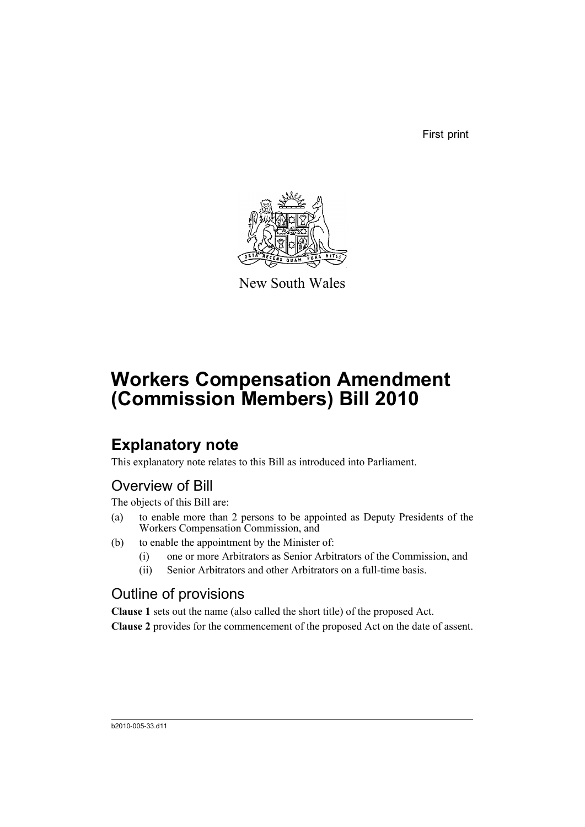First print



New South Wales

# **Workers Compensation Amendment (Commission Members) Bill 2010**

## **Explanatory note**

This explanatory note relates to this Bill as introduced into Parliament.

### Overview of Bill

The objects of this Bill are:

- (a) to enable more than 2 persons to be appointed as Deputy Presidents of the Workers Compensation Commission, and
- (b) to enable the appointment by the Minister of:
	- (i) one or more Arbitrators as Senior Arbitrators of the Commission, and
	- (ii) Senior Arbitrators and other Arbitrators on a full-time basis.

### Outline of provisions

**Clause 1** sets out the name (also called the short title) of the proposed Act.

**Clause 2** provides for the commencement of the proposed Act on the date of assent.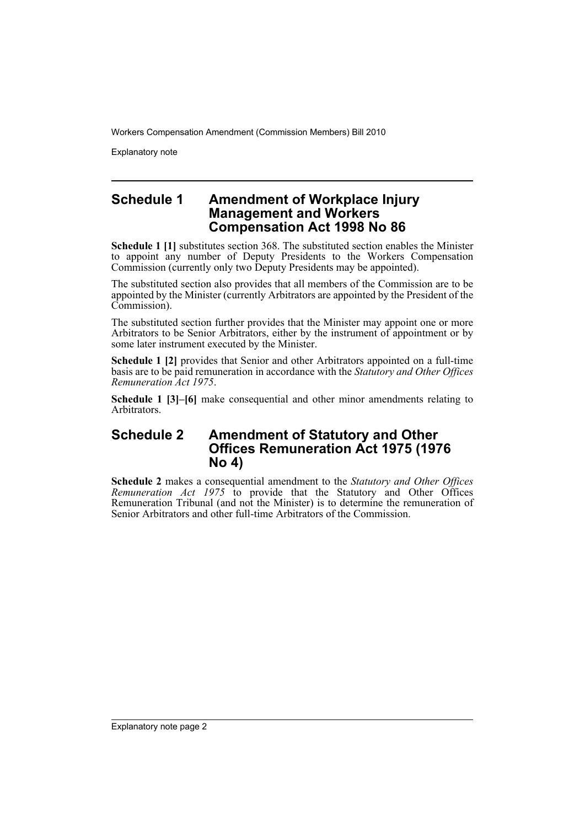Explanatory note

#### **Schedule 1 Amendment of Workplace Injury Management and Workers Compensation Act 1998 No 86**

**Schedule 1 [1]** substitutes section 368. The substituted section enables the Minister to appoint any number of Deputy Presidents to the Workers Compensation Commission (currently only two Deputy Presidents may be appointed).

The substituted section also provides that all members of the Commission are to be appointed by the Minister (currently Arbitrators are appointed by the President of the Commission).

The substituted section further provides that the Minister may appoint one or more Arbitrators to be Senior Arbitrators, either by the instrument of appointment or by some later instrument executed by the Minister.

**Schedule 1 [2]** provides that Senior and other Arbitrators appointed on a full-time basis are to be paid remuneration in accordance with the *Statutory and Other Offices Remuneration Act 1975*.

**Schedule 1 [3]–[6]** make consequential and other minor amendments relating to Arbitrators.

#### **Schedule 2 Amendment of Statutory and Other Offices Remuneration Act 1975 (1976 No 4)**

**Schedule 2** makes a consequential amendment to the *Statutory and Other Offices Remuneration Act 1975* to provide that the Statutory and Other Offices Remuneration Tribunal (and not the Minister) is to determine the remuneration of Senior Arbitrators and other full-time Arbitrators of the Commission.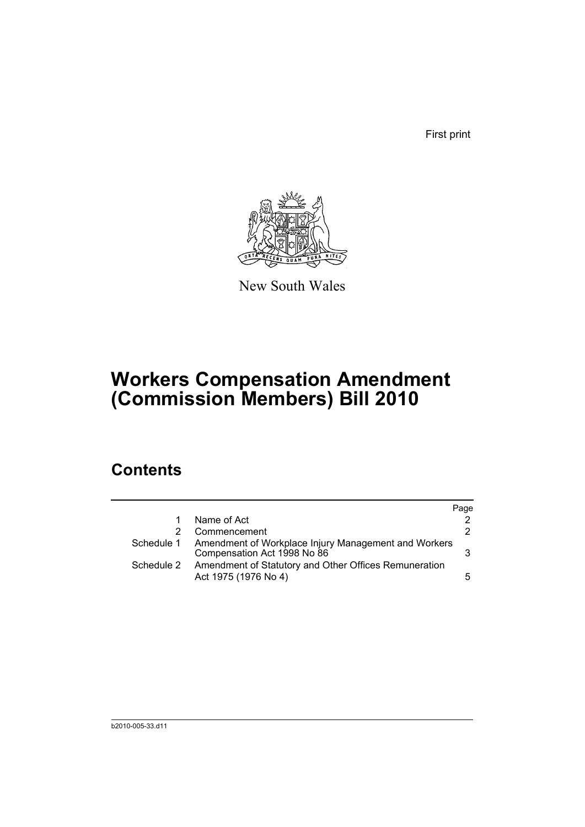First print



New South Wales

## **Workers Compensation Amendment (Commission Members) Bill 2010**

## **Contents**

|            |                                                                                     | Page |
|------------|-------------------------------------------------------------------------------------|------|
|            | Name of Act                                                                         |      |
| 2          | Commencement                                                                        | 2.   |
| Schedule 1 | Amendment of Workplace Injury Management and Workers<br>Compensation Act 1998 No 86 |      |
| Schedule 2 | Amendment of Statutory and Other Offices Remuneration<br>Act 1975 (1976 No 4)       | 5.   |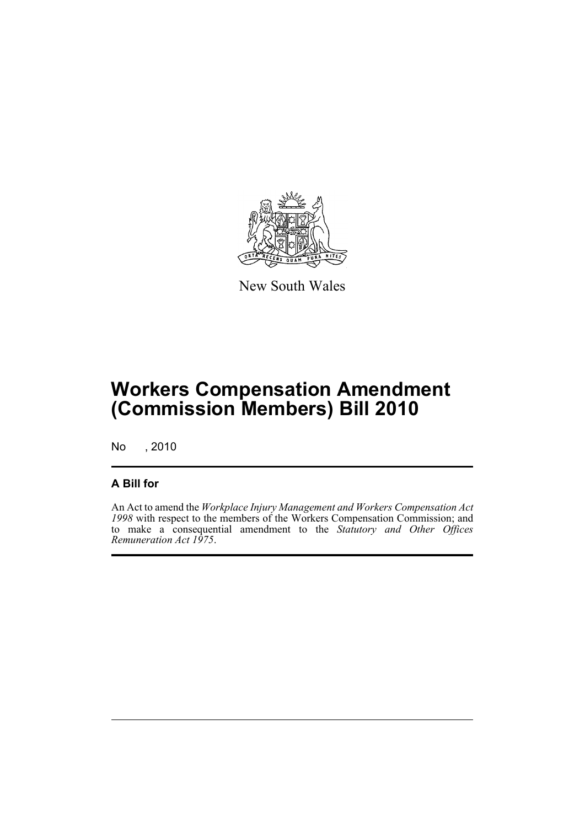

New South Wales

## **Workers Compensation Amendment (Commission Members) Bill 2010**

No , 2010

### **A Bill for**

An Act to amend the *Workplace Injury Management and Workers Compensation Act 1998* with respect to the members of the Workers Compensation Commission; and to make a consequential amendment to the *Statutory and Other Offices Remuneration Act 1975*.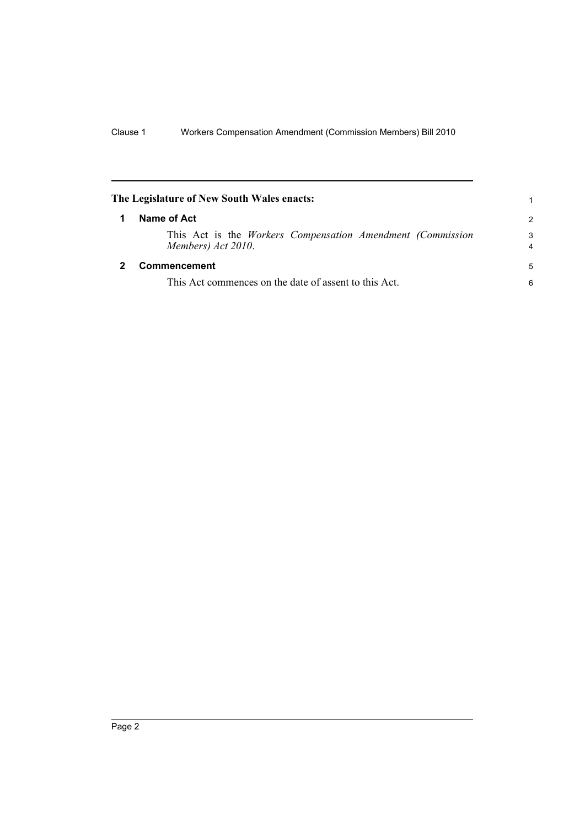<span id="page-5-1"></span><span id="page-5-0"></span>

| The Legislature of New South Wales enacts:                                              | 1      |
|-----------------------------------------------------------------------------------------|--------|
| Name of Act                                                                             |        |
| This Act is the <i>Workers</i> Compensation Amendment (Commission<br>Members) Act 2010. | 3<br>4 |
| Commencement                                                                            | -5     |
| This Act commences on the date of assent to this Act.                                   | 6      |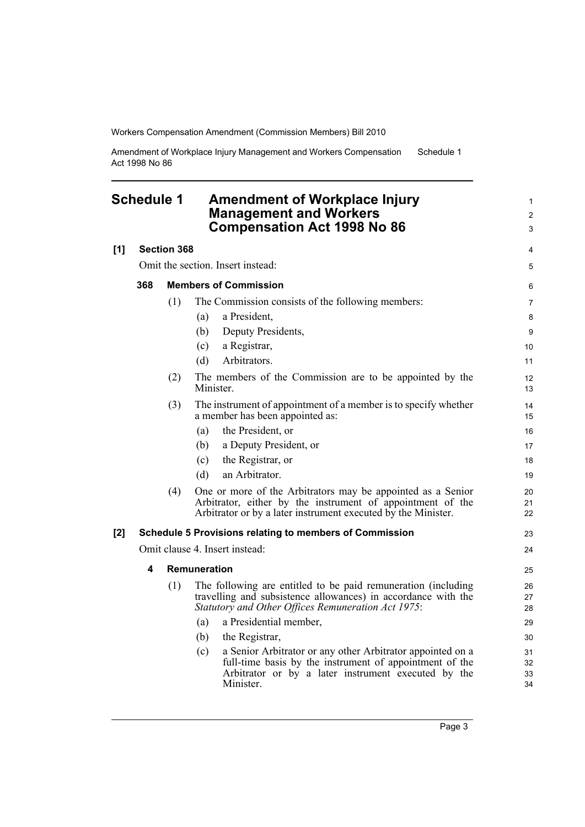Amendment of Workplace Injury Management and Workers Compensation Act 1998 No 86 Schedule 1

### <span id="page-6-0"></span>**Schedule 1 Amendment of Workplace Injury Management and Workers Compensation Act 1998 No 86**

|     |                                   |                    | Compensation Act 1998 No 86                                                                                                                                                                      | 3                    |
|-----|-----------------------------------|--------------------|--------------------------------------------------------------------------------------------------------------------------------------------------------------------------------------------------|----------------------|
| [1] |                                   | <b>Section 368</b> |                                                                                                                                                                                                  | 4                    |
|     | Omit the section. Insert instead: |                    |                                                                                                                                                                                                  | 5                    |
|     | 368                               |                    | <b>Members of Commission</b>                                                                                                                                                                     | 6                    |
|     |                                   | (1)                | The Commission consists of the following members:                                                                                                                                                | $\overline{7}$       |
|     |                                   |                    | a President,<br>(a)                                                                                                                                                                              | 8                    |
|     |                                   |                    | Deputy Presidents,<br>(b)                                                                                                                                                                        | 9                    |
|     |                                   |                    | a Registrar,<br>(c)                                                                                                                                                                              | 10                   |
|     |                                   |                    | Arbitrators.<br>(d)                                                                                                                                                                              | 11                   |
|     |                                   | (2)                | The members of the Commission are to be appointed by the<br>Minister.                                                                                                                            | 12<br>13             |
|     |                                   | (3)                | The instrument of appointment of a member is to specify whether<br>a member has been appointed as:                                                                                               | 14<br>15             |
|     |                                   |                    | the President, or<br>(a)                                                                                                                                                                         | 16                   |
|     |                                   |                    | a Deputy President, or<br>(b)                                                                                                                                                                    | 17                   |
|     |                                   |                    | the Registrar, or<br>(c)                                                                                                                                                                         | 18                   |
|     |                                   |                    | an Arbitrator.<br>(d)                                                                                                                                                                            | 19                   |
|     |                                   | (4)                | One or more of the Arbitrators may be appointed as a Senior<br>Arbitrator, either by the instrument of appointment of the<br>Arbitrator or by a later instrument executed by the Minister.       | 20<br>21<br>22       |
| [2] |                                   |                    | Schedule 5 Provisions relating to members of Commission                                                                                                                                          | 23                   |
|     |                                   |                    | Omit clause 4. Insert instead:                                                                                                                                                                   | 24                   |
|     | 4                                 |                    | Remuneration                                                                                                                                                                                     | 25                   |
|     |                                   | (1)                | The following are entitled to be paid remuneration (including<br>travelling and subsistence allowances) in accordance with the<br>Statutory and Other Offices Remuneration Act 1975:             | 26<br>27<br>28       |
|     |                                   |                    | a Presidential member,<br>(a)                                                                                                                                                                    | 29                   |
|     |                                   |                    | (b)<br>the Registrar,                                                                                                                                                                            | 30                   |
|     |                                   |                    | a Senior Arbitrator or any other Arbitrator appointed on a<br>(c)<br>full-time basis by the instrument of appointment of the<br>Arbitrator or by a later instrument executed by the<br>Minister. | 31<br>32<br>33<br>34 |
|     |                                   |                    |                                                                                                                                                                                                  |                      |

1 2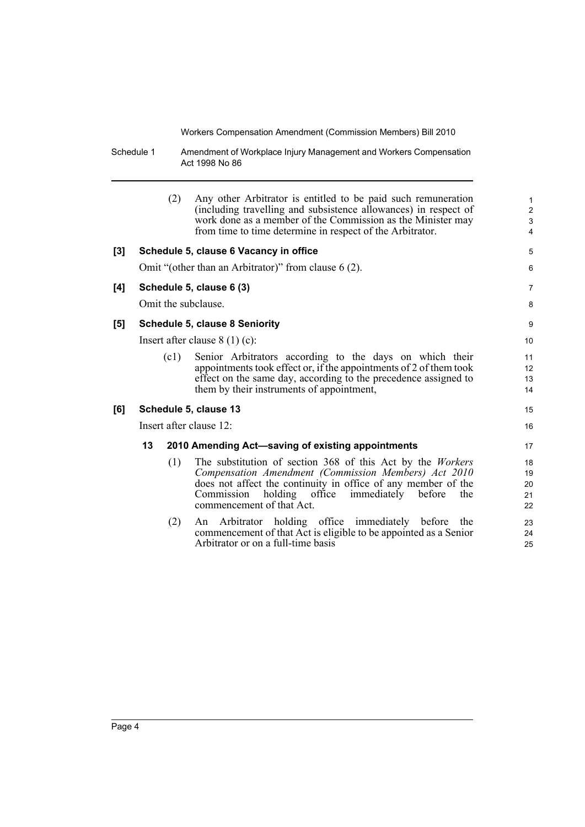Schedule 1 Amendment of Workplace Injury Management and Workers Compensation Act 1998 No 86

|     |                                 | (2)  | Any other Arbitrator is entitled to be paid such remuneration<br>(including travelling and subsistence allowances) in respect of<br>work done as a member of the Commission as the Minister may<br>from time to time determine in respect of the Arbitrator.                     | 1<br>$\overline{\mathbf{c}}$<br>3<br>4 |
|-----|---------------------------------|------|----------------------------------------------------------------------------------------------------------------------------------------------------------------------------------------------------------------------------------------------------------------------------------|----------------------------------------|
| [3] |                                 |      | Schedule 5, clause 6 Vacancy in office                                                                                                                                                                                                                                           | 5                                      |
|     |                                 |      | Omit "(other than an Arbitrator)" from clause 6 (2).                                                                                                                                                                                                                             | 6                                      |
| [4] |                                 |      | Schedule 5, clause 6 (3)                                                                                                                                                                                                                                                         | 7                                      |
|     |                                 |      | Omit the subclause.                                                                                                                                                                                                                                                              | 8                                      |
| [5] |                                 |      | <b>Schedule 5, clause 8 Seniority</b>                                                                                                                                                                                                                                            | 9                                      |
|     | Insert after clause $8(1)(c)$ : |      | 10                                                                                                                                                                                                                                                                               |                                        |
|     |                                 | (c1) | Senior Arbitrators according to the days on which their<br>appointments took effect or, if the appointments of 2 of them took<br>effect on the same day, according to the precedence assigned to<br>them by their instruments of appointment,                                    | 11<br>12<br>13<br>14                   |
| [6] |                                 |      | Schedule 5, clause 13                                                                                                                                                                                                                                                            | 15                                     |
|     |                                 |      | Insert after clause 12:                                                                                                                                                                                                                                                          | 16                                     |
|     | 13                              |      | 2010 Amending Act-saving of existing appointments                                                                                                                                                                                                                                | 17                                     |
|     |                                 | (1)  | The substitution of section 368 of this Act by the Workers<br>Compensation Amendment (Commission Members) Act 2010<br>does not affect the continuity in office of any member of the<br>Commission<br>holding office<br>immediately<br>before<br>the<br>commencement of that Act. | 18<br>19<br>20<br>21<br>22             |
|     |                                 | (2)  | An Arbitrator holding office immediately before<br>the<br>commencement of that Act is eligible to be appointed as a Senior<br>Arbitrator or on a full-time basis                                                                                                                 | 23<br>24<br>25                         |
|     |                                 |      |                                                                                                                                                                                                                                                                                  |                                        |